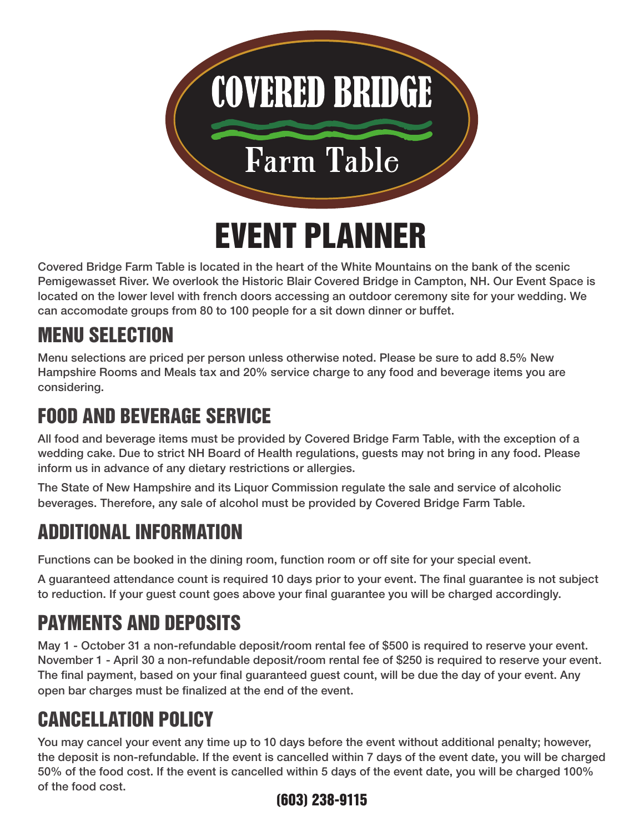

Covered Bridge Farm Table is located in the heart of the White Mountains on the bank of the scenic Pemigewasset River. We overlook the Historic Blair Covered Bridge in Campton, NH. Our Event Space is located on the lower level with french doors accessing an outdoor ceremony site for your wedding. We can accomodate groups from 80 to 100 people for a sit down dinner or buffet.

# MENU SELECTION

Menu selections are priced per person unless otherwise noted. Please be sure to add 8.5% New Hampshire Rooms and Meals tax and 20% service charge to any food and beverage items you are considering.

## FOOD AND BEVERAGE SERVICE

All food and beverage items must be provided by Covered Bridge Farm Table, with the exception of a wedding cake. Due to strict NH Board of Health regulations, guests may not bring in any food. Please inform us in advance of any dietary restrictions or allergies.

The State of New Hampshire and its Liquor Commission regulate the sale and service of alcoholic beverages. Therefore, any sale of alcohol must be provided by Covered Bridge Farm Table.

# ADDITIONAL INFORMATION

Functions can be booked in the dining room, function room or off site for your special event.

A guaranteed attendance count is required 10 days prior to your event. The final guarantee is not subject to reduction. If your guest count goes above your final guarantee you will be charged accordingly.

# PAYMENTS AND DEPOSITS

May 1 - October 31 a non-refundable deposit/room rental fee of \$500 is required to reserve your event. November 1 - April 30 a non-refundable deposit/room rental fee of \$250 is required to reserve your event. The final payment, based on your final guaranteed guest count, will be due the day of your event. Any open bar charges must be finalized at the end of the event.

# CANCELLATION POLICY

You may cancel your event any time up to 10 days before the event without additional penalty; however, the deposit is non-refundable. If the event is cancelled within 7 days of the event date, you will be charged 50% of the food cost. If the event is cancelled within 5 days of the event date, you will be charged 100% of the food cost.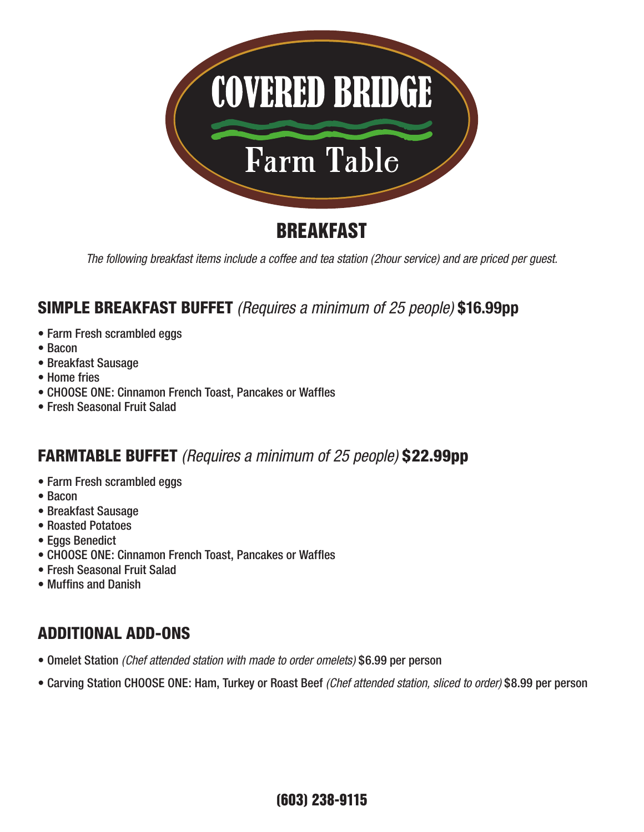

## BREAKFAST

*The following breakfast items include a coffee and tea station (2hour service) and are priced per guest.*

#### SIMPLE BREAKFAST BUFFET *(Requires a minimum of 25 people)* **\$16.99pp**

- Farm Fresh scrambled eggs
- Bacon
- Breakfast Sausage
- Home fries
- CHOOSE ONE: Cinnamon French Toast, Pancakes or Waffles
- Fresh Seasonal Fruit Salad

#### FARMTABLE BUFFET *(Requires a minimum of 25 people)* \$22.99pp

- Farm Fresh scrambled eggs
- Bacon
- Breakfast Sausage
- Roasted Potatoes
- Eggs Benedict
- CHOOSE ONE: Cinnamon French Toast, Pancakes or Waffles
- Fresh Seasonal Fruit Salad
- Muffins and Danish

#### ADDITIONAL ADD-ONS

- Omelet Station *(Chef attended station with made to order omelets)* \$6.99 per person
- Carving Station CHOOSE ONE: Ham, Turkey or Roast Beef *(Chef attended station, sliced to order)* \$8.99 per person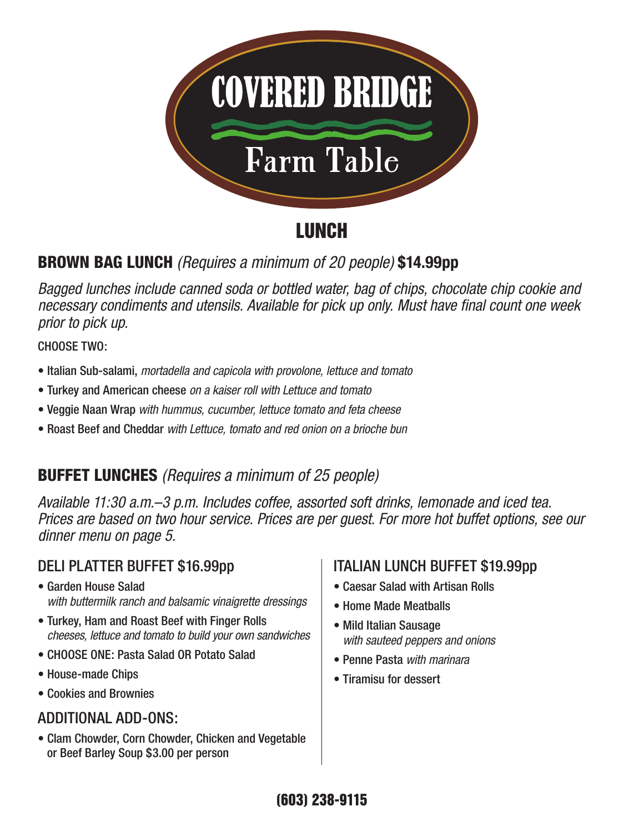

## **LUNCH**

### BROWN BAG LUNCH *(Requires a minimum of 20 people)* **\$14.99pp**

*Bagged lunches include canned soda or bottled water, bag of chips, chocolate chip cookie and necessary condiments and utensils. Available for pick up only. Must have final count one week prior to pick up.*

CHOOSE TWO:

- Italian Sub-salami, *mortadella and capicola with provolone, lettuce and tomato*
- Turkey and American cheese *on a kaiser roll with Lettuce and tomato*
- Veggie Naan Wrap *with hummus, cucumber, lettuce tomato and feta cheese*
- Roast Beef and Cheddar *with Lettuce, tomato and red onion on a brioche bun*

### BUFFET LUNCHES *(Requires a minimum of 25 people)*

*Available 11:30 a.m.–3 p.m. Includes coffee, assorted soft drinks, lemonade and iced tea. Prices are based on two hour service. Prices are per guest. For more hot buffet options, see our dinner menu on page 5.*

### DELI PLATTER BUFFET \$16.99pp

- Garden House Salad *with buttermilk ranch and balsamic vinaigrette dressings*
- Turkey, Ham and Roast Beef with Finger Rolls *cheeses, lettuce and tomato to build your own sandwiches*
- CHOOSE ONE: Pasta Salad OR Potato Salad
- House-made Chips
- Cookies and Brownies

#### ADDITIONAL ADD-ONS:

• Clam Chowder, Corn Chowder, Chicken and Vegetable or Beef Barley Soup \$3.00 per person

#### ITALIAN LUNCH BUFFET \$19.99pp

- Caesar Salad with Artisan Rolls
- Home Made Meatballs
- Mild Italian Sausage *with sauteed peppers and onions*
- Penne Pasta *with marinara*
- Tiramisu for dessert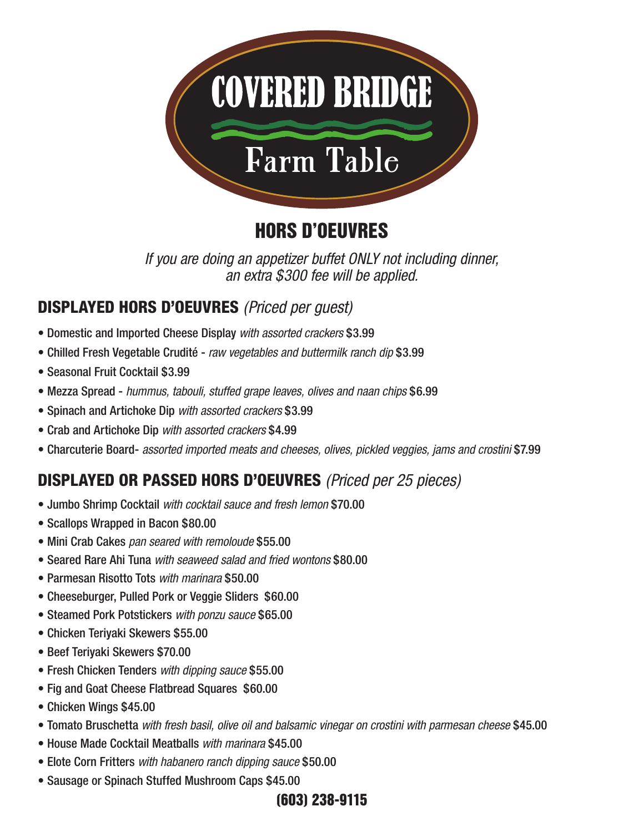

## HORS D'OEUVRES

*If you are doing an appetizer buffet ONLY not including dinner, an extra \$300 fee will be applied.*

#### DISPLAYED HORS D'OEUVRES *(Priced per guest)*

- Domestic and Imported Cheese Display *with assorted crackers* \$3.99
- Chilled Fresh Vegetable Crudité *raw vegetables and buttermilk ranch dip* \$3.99
- Seasonal Fruit Cocktail \$3.99
- Mezza Spread *hummus, tabouli, stuffed grape leaves, olives and naan chips* \$6.99
- Spinach and Artichoke Dip *with assorted crackers* \$3.99
- Crab and Artichoke Dip *with assorted crackers* \$4.99
- Charcuterie Board- *assorted imported meats and cheeses, olives, pickled veggies, jams and crostini* \$7.99

### DISPLAYED OR PASSED HORS D'OEUVRES *(Priced per 25 pieces)*

- Jumbo Shrimp Cocktail *with cocktail sauce and fresh lemon* \$70.00
- Scallops Wrapped in Bacon \$80.00
- Mini Crab Cakes *pan seared with remoloude* \$55.00
- Seared Rare Ahi Tuna *with seaweed salad and fried wontons* \$80.00
- Parmesan Risotto Tots *with marinara* \$50.00
- Cheeseburger, Pulled Pork or Veggie Sliders \$60.00
- Steamed Pork Potstickers *with ponzu sauce* \$65.00
- Chicken Teriyaki Skewers \$55.00
- Beef Teriyaki Skewers \$70.00
- Fresh Chicken Tenders *with dipping sauce* \$55.00
- Fig and Goat Cheese Flatbread Squares \$60.00
- Chicken Wings \$45.00
- Tomato Bruschetta *with fresh basil, olive oil and balsamic vinegar on crostini with parmesan cheese* \$45.00
- House Made Cocktail Meatballs *with marinara* \$45.00
- Elote Corn Fritters *with habanero ranch dipping sauce* \$50.00
- Sausage or Spinach Stuffed Mushroom Caps \$45.00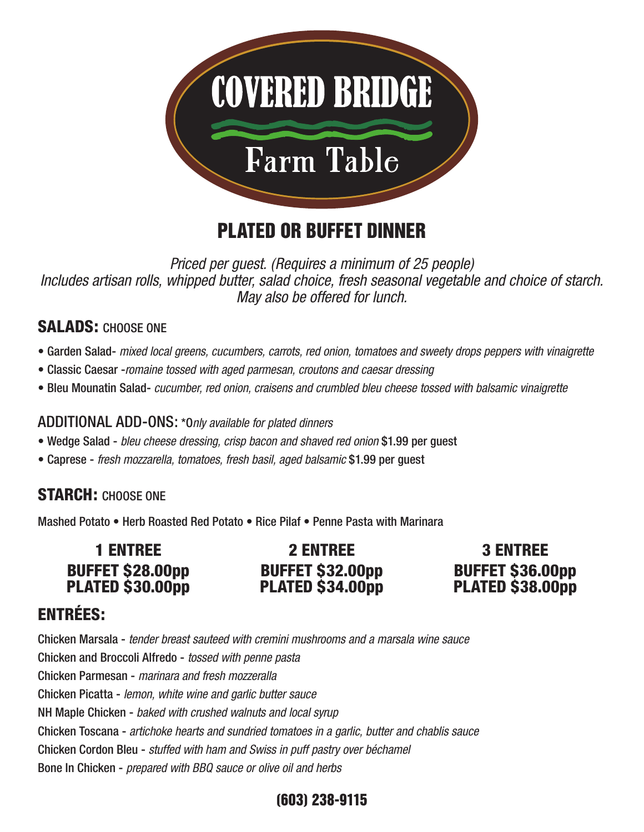

## PLATED OR BUFFET DINNER

*Priced per guest. (Requires a minimum of 25 people) Includes artisan rolls, whipped butter, salad choice, fresh seasonal vegetable and choice of starch. May also be offered for lunch.*

#### SALADS: CHOOSE ONE

- Garden Salad- *mixed local greens, cucumbers, carrots, red onion, tomatoes and sweety drops peppers with vinaigrette*
- Classic Caesar -*romaine tossed with aged parmesan, croutons and caesar dressing*
- Bleu Mounatin Salad- *cucumber, red onion, craisens and crumbled bleu cheese tossed with balsamic vinaigrette*

#### ADDITIONAL ADD-ONS: \*O*nly available for plated dinners*

- Wedge Salad *bleu cheese dressing, crisp bacon and shaved red onion* \$1.99 per guest
- Caprese *fresh mozzarella, tomatoes, fresh basil, aged balsamic* \$1.99 per guest

#### STARCH: CHOOSE ONE

Mashed Potato • Herb Roasted Red Potato • Rice Pilaf • Penne Pasta with Marinara

| <b>1 ENTREE</b>         | <b>2 ENTREE</b>         |
|-------------------------|-------------------------|
| <b>BUFFET \$28.00pp</b> | <b>BUFFET \$32.00pp</b> |
| PLATED \$30.00pp        | PLATED \$34.00pp        |

3 ENTREE BUFFET \$36.00pp PLATED \$38.00pp

#### ENTRÉES:

Chicken Marsala - *tender breast sauteed with cremini mushrooms and a marsala wine sauce* Chicken and Broccoli Alfredo - *tossed with penne pasta* Chicken Parmesan - *marinara and fresh mozzeralla* Chicken Picatta - *lemon, white wine and garlic butter sauce* NH Maple Chicken - *baked with crushed walnuts and local syrup* Chicken Toscana - *artichoke hearts and sundried tomatoes in a garlic, butter and chablis sauce* Chicken Cordon Bleu - *stuffed with ham and Swiss in puff pastry over béchamel* Bone In Chicken - *prepared with BBQ sauce or olive oil and herbs*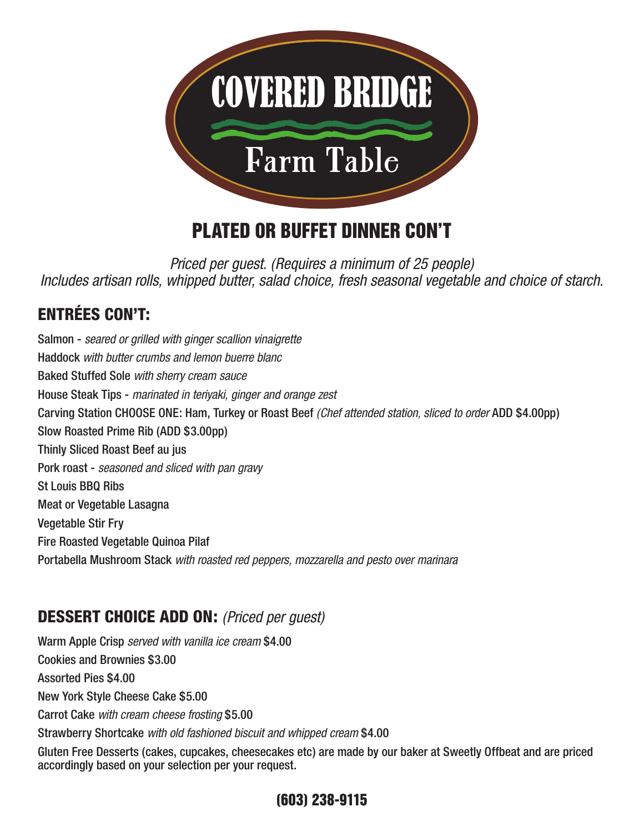

## PLATED OR BUFFET DINNER CON'T

*Priced per guest. (Requires a minimum of 25 people) Includes artisan rolls, whipped butter, salad choice, fresh seasonal vegetable and choice of starch.*

### ENTRÉES CON'T:

Salmon - *seared or grilled with ginger scallion vinaigrette* Haddock *with butter crumbs and lemon buerre blanc* Baked Stuffed Sole *with sherry cream sauce* House Steak Tips - *marinated in teriyaki, ginger and orange zest* Carving Station CHOOSE ONE: Ham, Turkey or Roast Beef *(Chef attended station, sliced to order* ADD \$4.00pp) Slow Roasted Prime Rib (ADD \$3.00pp) Thinly Sliced Roast Beef au jus Pork roast - *seasoned and sliced with pan gravy* St Louis BBQ Ribs Meat or Vegetable Lasagna Vegetable Stir Fry Fire Roasted Vegetable Quinoa Pilaf Portabella Mushroom Stack *with roasted red peppers, mozzarella and pesto over marinara*

#### DESSERT CHOICE ADD ON: *(Priced per guest)*

Warm Apple Crisp *served with vanilla ice cream* \$4.00 Cookies and Brownies \$3.00 Assorted Pies \$4.00 New York Style Cheese Cake \$5.00 Carrot Cake *with cream cheese frosting* \$5.00 Strawberry Shortcake *with old fashioned biscuit and whipped cream* \$4.00 Gluten Free Desserts (cakes, cupcakes, cheesecakes etc) are made by our baker at Sweetly Offbeat and are priced accordingly based on your selection per your request.